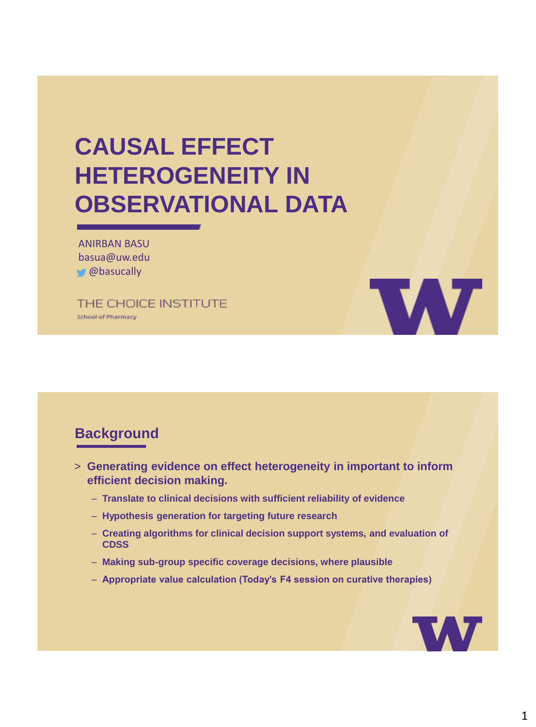# **CAUSAL EFFECT HETEROGENEITY IN OBSERVATIONAL DATA**

ANIRBAN BASU basua@uw.edu **@basucally** 

THE CHOICE INSTITUTE **School of Pharmacy** 



## **Background**

- > **Generating evidence on effect heterogeneity in important to inform efficient decision making.**
	- **Translate to clinical decisions with sufficient reliability of evidence**
	- **Hypothesis generation for targeting future research**
	- **Creating algorithms for clinical decision support systems, and evaluation of CDSS**
	- **Making sub-group specific coverage decisions, where plausible**
	- **Appropriate value calculation (Today's F4 session on curative therapies)**

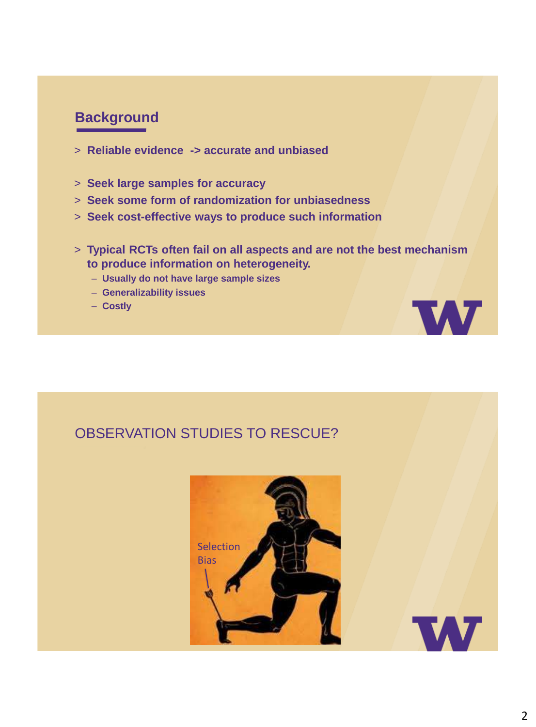## **Background**

- > **Reliable evidence -> accurate and unbiased**
- > **Seek large samples for accuracy**
- > **Seek some form of randomization for unbiasedness**
- > **Seek cost-effective ways to produce such information**
- > **Typical RCTs often fail on all aspects and are not the best mechanism to produce information on heterogeneity.**
	- **Usually do not have large sample sizes**
	- **Generalizability issues**
	- **Costly**

## OBSERVATION STUDIES TO RESCUE?





**W**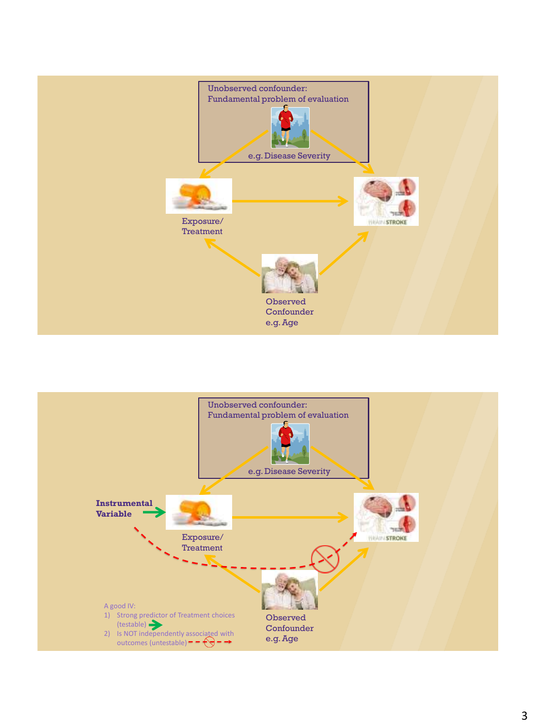

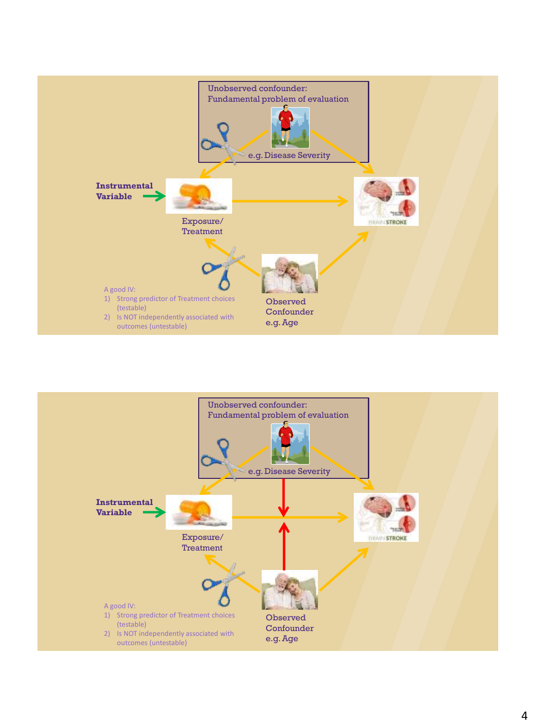

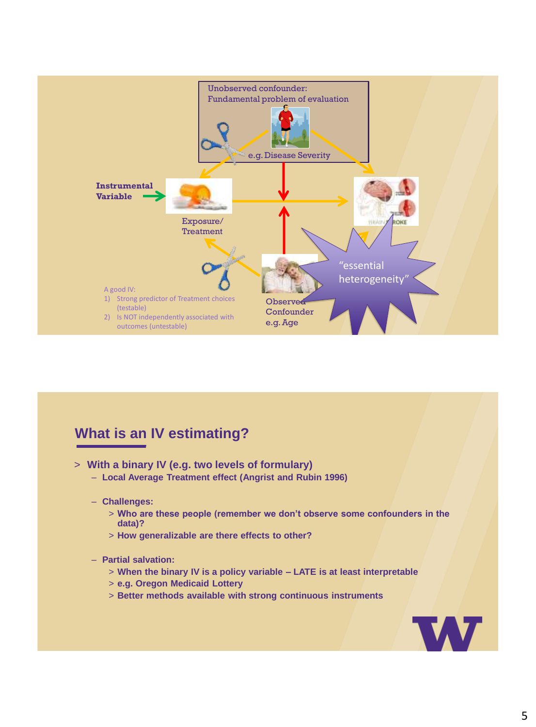

## **What is an IV estimating?**

- > **With a binary IV (e.g. two levels of formulary)**
	- **Local Average Treatment effect (Angrist and Rubin 1996)**
	- **Challenges:**
		- > **Who are these people (remember we don't observe some confounders in the data)?**
		- > **How generalizable are there effects to other?**

#### – **Partial salvation:**

- > **When the binary IV is a policy variable – LATE is at least interpretable**
- > **e.g. Oregon Medicaid Lottery**
- > **Better methods available with strong continuous instruments**

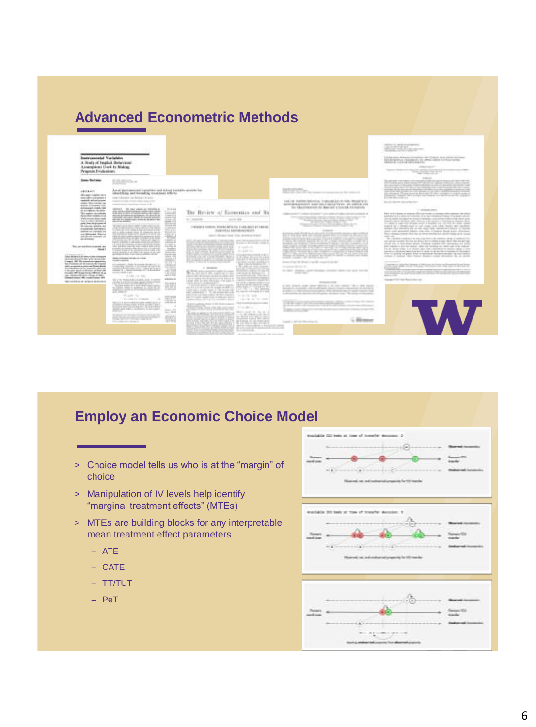## **Advanced Econometric Methods**

| Assumptions Cord In Making<br>Program Evaluations                                                                                                                                                                                                                                                                                                                                                                                                                                                                                                                                                                                                                                                                                                                                                                                                                                                                                                                                                                                                                                                                 |                                                                                                                                                                                                                                                                                                                                                                                                                                                                                                                                                                                                                                                                                                                                                                                                                                                                                                                                                                                                                                                                                                                                                                                                                                                                                                                                                                                                                                                                                                                                                                                                                                                                                                                                                                                                                                                                                                                                                                                                                                      |                                                                                                                                                                                                                                                                                                                                                                                                                                                                                                                                                                                                                                                                                                                                                                                                                                                                                                                                                                                                                                                                                                                                                                                                                                                                                                                                                                                                                                                                                                                                                                                                                                                                                                                                                                                                                                                                                                                                                          |                                                                                                                                                                                                                                                                                                                                                                                                                                                                                                                                                                                                                                                                                                                                                                                                                                                                                                                                                                                                                                                                                                                                                                                                                              | Little cropper<br>Telephone and determined after the party of the first factor that it<br>Service Colorado and Sales<br>they control at the                                                                                                                                                                                                                                                                                                                                                                                                                                                                                                                                                                                                                                                                                                                                                                                                                                                                                                                                                                                                                                                                                                                                                                                                                                                                                                                                                                                                                                                                                                                                                                                                                                                                                                                                                                                                                                                                                                                                                        |
|-------------------------------------------------------------------------------------------------------------------------------------------------------------------------------------------------------------------------------------------------------------------------------------------------------------------------------------------------------------------------------------------------------------------------------------------------------------------------------------------------------------------------------------------------------------------------------------------------------------------------------------------------------------------------------------------------------------------------------------------------------------------------------------------------------------------------------------------------------------------------------------------------------------------------------------------------------------------------------------------------------------------------------------------------------------------------------------------------------------------|--------------------------------------------------------------------------------------------------------------------------------------------------------------------------------------------------------------------------------------------------------------------------------------------------------------------------------------------------------------------------------------------------------------------------------------------------------------------------------------------------------------------------------------------------------------------------------------------------------------------------------------------------------------------------------------------------------------------------------------------------------------------------------------------------------------------------------------------------------------------------------------------------------------------------------------------------------------------------------------------------------------------------------------------------------------------------------------------------------------------------------------------------------------------------------------------------------------------------------------------------------------------------------------------------------------------------------------------------------------------------------------------------------------------------------------------------------------------------------------------------------------------------------------------------------------------------------------------------------------------------------------------------------------------------------------------------------------------------------------------------------------------------------------------------------------------------------------------------------------------------------------------------------------------------------------------------------------------------------------------------------------------------------------|----------------------------------------------------------------------------------------------------------------------------------------------------------------------------------------------------------------------------------------------------------------------------------------------------------------------------------------------------------------------------------------------------------------------------------------------------------------------------------------------------------------------------------------------------------------------------------------------------------------------------------------------------------------------------------------------------------------------------------------------------------------------------------------------------------------------------------------------------------------------------------------------------------------------------------------------------------------------------------------------------------------------------------------------------------------------------------------------------------------------------------------------------------------------------------------------------------------------------------------------------------------------------------------------------------------------------------------------------------------------------------------------------------------------------------------------------------------------------------------------------------------------------------------------------------------------------------------------------------------------------------------------------------------------------------------------------------------------------------------------------------------------------------------------------------------------------------------------------------------------------------------------------------------------------------------------------------|------------------------------------------------------------------------------------------------------------------------------------------------------------------------------------------------------------------------------------------------------------------------------------------------------------------------------------------------------------------------------------------------------------------------------------------------------------------------------------------------------------------------------------------------------------------------------------------------------------------------------------------------------------------------------------------------------------------------------------------------------------------------------------------------------------------------------------------------------------------------------------------------------------------------------------------------------------------------------------------------------------------------------------------------------------------------------------------------------------------------------------------------------------------------------------------------------------------------------|----------------------------------------------------------------------------------------------------------------------------------------------------------------------------------------------------------------------------------------------------------------------------------------------------------------------------------------------------------------------------------------------------------------------------------------------------------------------------------------------------------------------------------------------------------------------------------------------------------------------------------------------------------------------------------------------------------------------------------------------------------------------------------------------------------------------------------------------------------------------------------------------------------------------------------------------------------------------------------------------------------------------------------------------------------------------------------------------------------------------------------------------------------------------------------------------------------------------------------------------------------------------------------------------------------------------------------------------------------------------------------------------------------------------------------------------------------------------------------------------------------------------------------------------------------------------------------------------------------------------------------------------------------------------------------------------------------------------------------------------------------------------------------------------------------------------------------------------------------------------------------------------------------------------------------------------------------------------------------------------------------------------------------------------------------------------------------------------------|
| <b>Sold: Do Sold</b><br>$-1411111111$<br><b>Bo paintered by the to</b><br>dealer collect at Angliance at<br>mailed advantagement<br>senior determined up<br>andato in hyteratic core.<br>AlmAviat signs : bd<br>di produzio dell'A<br>This makes decisionly<br>Want Star women, in the<br><b>VAN APRIL-RACINA</b><br>that it called a primary a<br>parts (this time program of<br>Mortgarten, specific des<br>contained demands to<br>lating on complete<br>not allowed. Basical<br>and discount inclusion car<br>all process in<br>Record text directionships are<br><b>Chicago</b> I<br>Laker ARI Mod & All Alexandration Company<br>abilitato desporti delle gli la carollo a del<br>copy of the standard party of<br>has Franklin are its bancautike francis<br>dates constructed promising through district.<br>that Administrated by the Antiquity of Arts of<br>1. Box also Associated Michigan automatic to Michigan<br>decided the structure are effected to as<br>take 100 key Old Schuy (Mouth, At 480).<br>University States 1, 400, London College, 1974<br>Tel: (10) \$910 of \$1000 ch ex \$10,000 | 15,55,525,<br>Local Germanister Luckeldon and Milesel Henriko durchle for<br>should had sent becausing transferred official-<br>source & Mandathan' and - Rodright & "W lackup<br>constitution dealer for the Codebar stage of the<br>comments and services of the seconds and it half-<br>trained<br>WITHOUT  WE CAN LINEAUSE THEIR RALE<br>they can be related and as a water right statio-<br><b>SALE</b><br>GUN ASIA NI FALL FITARES/AGES LIGHT MARCH.<br>the product of the second states<br>---<br>---<br>and in the first departure agency depoint on the backers wider.<br><b>CARD VALUE</b><br>and at high-<br>--<br><b>Contract</b><br>To provide the company such as the company<br><b>LINES</b><br>and all your long-long provide all ap-<br>23,00<br>S LABUT RAIDS AVENUE PUB<br>1917.<br>the first course relevant is accurate to book<br><b>PERMIT</b><br>ANDRO REALIST VAN FUIS TOP<br><b>Contract Contract Contract</b><br>The Company and Company<br><b>STATISTICS</b><br>and standard sales and characterized<br>,,,,,,<br>and all dead in subduly of the first subduly and<br><b>LYDE</b><br>also address that in this county and you<br>The Carl of March 1980<br><b>SAFE</b><br>-42.5<br>THE PROPERTY AND THE TABLE<br><b>British County</b><br>$\cdots$<br>,,,,,,<br>Mid-2 forest at AL 21004<br>in a<br>model is consider<br>$-11 - 1$<br><b>SERVICE AND INCOME.</b><br><b>State Street</b><br>111003<br>325.0<br>contracts in the<br>THE PROP<br>GOVERNO<br>2.1 Web 24, 2001.<br>ASSAULT &<br>by a m-maintenance a hands and investment<br>O'B LUMP CON SPORTS<br>\$1,000.00<br>兰斯<br>Surveyor Automotive's Countries and A \$100 monitory<br>Print Air Crust Towns<br><b>SHOW</b> IS<br>the party link<br><b>JUST</b><br>1. Donating Lib - Institute -<br>$\rightarrow$<br>$+0.014 + 0.014$<br>and so an<br>STAGE A A FIRM PRODUCTS STOLE PICKET<br><b>SAN AIR AN AIR AND AIR AND AIR</b><br>Dealers of Ca.<br>---<br>Search Mill<br>----<br><b>CEAVIRA BOOKING</b><br>Wa<br>the control of the control of | Review of Economics and Sta<br>Tita:<br>$-0.4$ / $-0.00000000$<br><b>Service State</b><br>THROUGH & COURSES, CASTAGE INFLINISIA, CAARA ARASIA BILANDERSIS<br>TORONTAL ARTISTICS IN ST.<br>cannot be described in the description of the first<br>point and accumulated and at the<br>dealers a structure company<br>the country of the<br>14722<br>$25 - 44 + 16 + 44$<br>TO FREE FRATION F.R. E. I.<br><b>Administration</b><br>21, 2304, Inc. Spl., Landing, Jr.,<br>Note to Links the Australian Chr.<br>A R. Latin at Alab Charles<br>$1-2$ contains to<br>Anderson Artes<br>and the company of the state of<br><b>SCOULTS AND SERVICE</b><br>the court of the company<br>Scribbilder Sein des Weinstehn<br>parents also be use that restate at collects allow-<br>FOR 24 YEAR OLD FEMALE PAID AT THE 2002 OF DESIGN PAID OF<br>THE PERCHARGING OF HIS 2002 FREE RESERVE<br>FT 279-1 below-sold 2 r.m.<br>sales Bolan to resource.<br><b>ENVIRONMENT CONTROL</b><br>If you can properly left in a more against<br><b>CONTRACTOR</b><br>an and a rest and the change conditional<br>the company's the product of<br>The concentrated training of \$1,500.<br>paint from the sense engineer the way channels.<br><b>STATISTICS</b><br>ALL F. La spolita classified clima in a determined a later of<br>the control of the control<br>added collision allows and it is released in detail.<br>The foreign source and<br>and traditions, of this is the company.<br><b><i>COMMERCE</i></b><br><b>EVANDRICK</b><br>BAY, ALC 31, No.<br><b><i><i><u><b>CHEALBHESTUTU</b></u></i></i></b><br>The data conference this is not<br>the dealer go to be, large provided at<br>the process company's data company's<br>as a multiple and the interviewed<br>the contractor of collection state and<br>the to transport in the price of a battle<br>Mar Service La<br><b>PERSONAL PROPERTY</b><br>development of the product of the<br><b>Simple and Contract</b> | and the first team company and terminal<br>Lod id institute between a red contained in them, decompany of<br>determination and other sales there were all there are all<br>the Education mile star determine a local star dealership<br>the first position of the first of the control and controllers. The set of the first of<br>NOTE OF RITTER FAIL FACTOR FIRE<br><b>STARTED AT A</b><br><b>Holland</b><br><b>HARLAND COMMUNIST</b><br><b>All Andrews State Control State Control Control</b><br>on an and the motor of the and one<br>L'ANGERIAN DE<br>through the special industry of the file channel to the file<br><b>Grade and State St</b><br>as day allows have assistant terms and an an on-an<br>--------<br>A date depends and concern detections in the convention rate of able council<br>project making client attack in the topic function in both to<br>dealers in the process course, who should be thrown to an ex-<br>A decreasing the statistic control gallery the basic class that control control<br>come that come is<br>The party of the local control and select<br>the day of well as a sight research that the sight is determined<br>L. Bleibauer<br>Considered Manager Milled Artists For- | <b>COMMERCIAL</b><br>the personal company of the resident and the design of the post-section and<br>the activity of the company's state of the company's and<br>ingelands, since of special control payment with a label since the inclusion<br>no tape allo de que sua de la cadriar el Pallar al 1 año - questo - construir vila.<br>the property former than a first service of the company of the service<br>that the finance about a state that the state of the state of the state of<br>Correlate Manufacture (e.g.<br>Business Manager<br>All products and the con-<br>The F of the United to the state for the Core C through the change of the complete the typical<br>particles for a projected downs of at the University three of a based of all<br>an at holds being at an interest of the cost learned and a con-<br>liability as a design official and a development of the state data<br>THE ARREST CONTROL FROM A REPORTED A CONTROL FOR A CARD CORP.<br>paint for a state has a volumes will like main any cause.<br>parallel alla relaciata alla caratta essa ratio estratura i descrito in resista-<br>this case around historyce can be a basical deads over dimense<br>For shake news dot in a new well the domestic at it can<br>and a state<br>The computers constitutive in changing from a de computer prints in exciting Color<br>and reproduction by the participants are as to be the product of the second company was<br>line are a strainer was those sums on anyone to sell.<br>has considered and the lastical contracts between the contracts in the contracts<br>In all these state is at strong may can entropy to see them apply a lost<br>pleases a demandant charge are a strain for the fact the determined about the<br>They are good by helighters forced to hall because the interesting that have about<br>cheap is called this water duration while deviating the on predi-<br>WITCH and print was true of the state of<br>the country of the country and country the country of<br>THE CONVERTIBLE FAILURE<br>Handale 2 (21) 1930 This is known to |

## **Employ an Economic Choice Model**

- > Choice model tells us who is at the "margin" of choice
- > Manipulation of IV levels help identify "marginal treatment effects" (MTEs)
- > MTEs are building blocks for any interpretable mean treatment effect parameters
	- ATE
	- CATE
	- TT/TUT
	- PeT

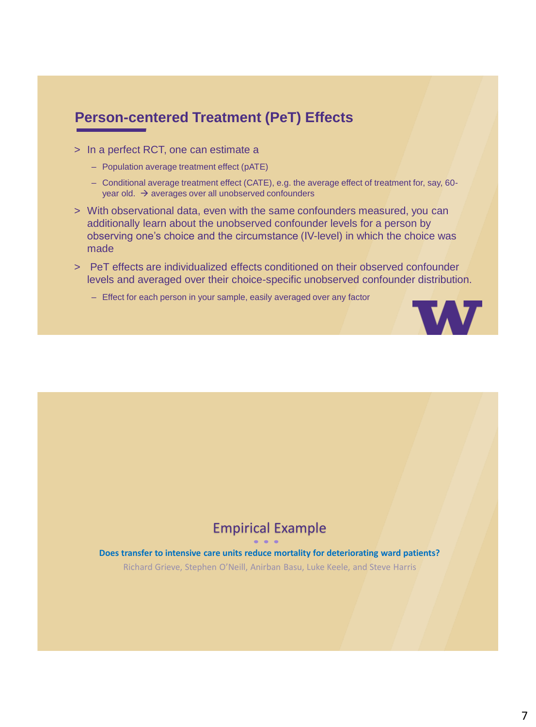## **Person-centered Treatment (PeT) Effects**

- > In a perfect RCT, one can estimate a
	- Population average treatment effect (pATE)
	- Conditional average treatment effect (CATE), e.g. the average effect of treatment for, say, 60 year old.  $\rightarrow$  averages over all unobserved confounders
- > With observational data, even with the same confounders measured, you can additionally learn about the unobserved confounder levels for a person by observing one's choice and the circumstance (IV-level) in which the choice was made
- > PeT effects are individualized effects conditioned on their observed confounder levels and averaged over their choice-specific unobserved confounder distribution.
	- Effect for each person in your sample, easily averaged over any factor



## Empirical Example

**Does transfer to intensive care units reduce mortality for deteriorating ward patients?**  Richard Grieve, Stephen O'Neill, Anirban Basu, Luke Keele, and Steve Harris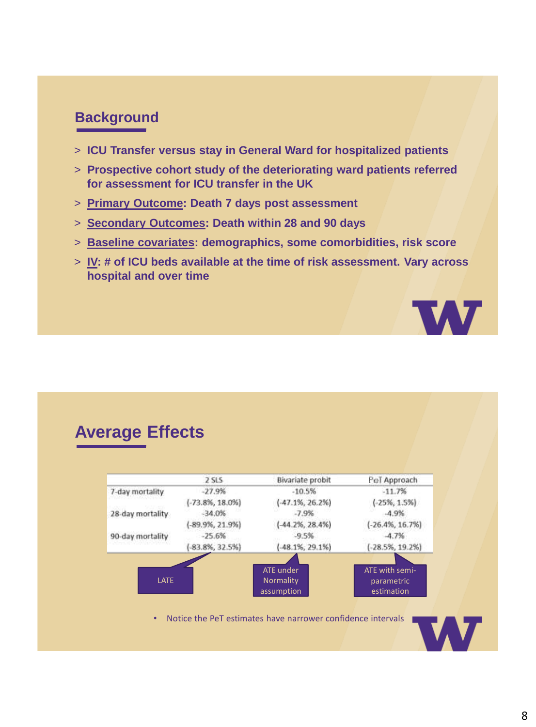## **Background**

- > **ICU Transfer versus stay in General Ward for hospitalized patients**
- > **Prospective cohort study of the deteriorating ward patients referred for assessment for ICU transfer in the UK**
- > **Primary Outcome: Death 7 days post assessment**
- > **Secondary Outcomes: Death within 28 and 90 days**
- > **Baseline covariates: demographics, some comorbidities, risk score**
- > **IV: # of ICU beds available at the time of risk assessment. Vary across hospital and over time**



## **Average Effects**

|                  | <b>2 SLS</b>        | Bivariate probit     | PeT Approach        |
|------------------|---------------------|----------------------|---------------------|
| 7-day mortality  | $-27.9%$            | $-10.5%$             | $-11.7%$            |
|                  | $(-73.8\%, 18.0\%)$ | $-47.1\%, 26.2\%)$   | $(.25\%, 1.5\%)$    |
| 28-day mortality | $-34.0%$            | $-7.9%$              | $-4.9%$             |
|                  | $(-89.9\%, 21.9\%)$ | $( -44.2\%, 28.4\%)$ | $(-26.4\%, 16.7\%)$ |
| 90-day mortality | $-25.6%$            | $-9.5%$              | $-4.7%$             |
|                  | $[-83.8\%, 32.5\%)$ | $-48.1\%, 29.1\%)$   | $[-28.5\%, 19.2\%]$ |
|                  |                     |                      |                     |
|                  |                     | ATE under            | ATE with semi-      |
| <b>LATE</b>      |                     | Normality            | parametric          |
|                  |                     | assumption           | estimation          |

• Notice the PeT estimates have narrower confidence intervals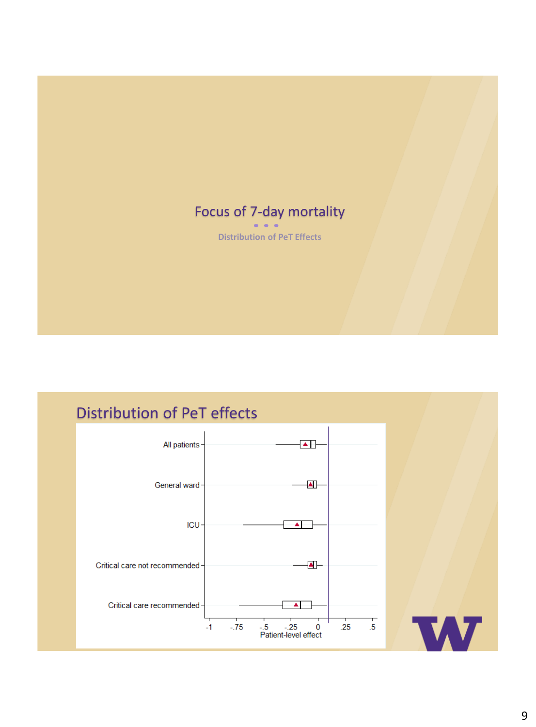# Focus of 7-day mortality

**Distribution of PeT Effects**

## Distribution of PeT effects

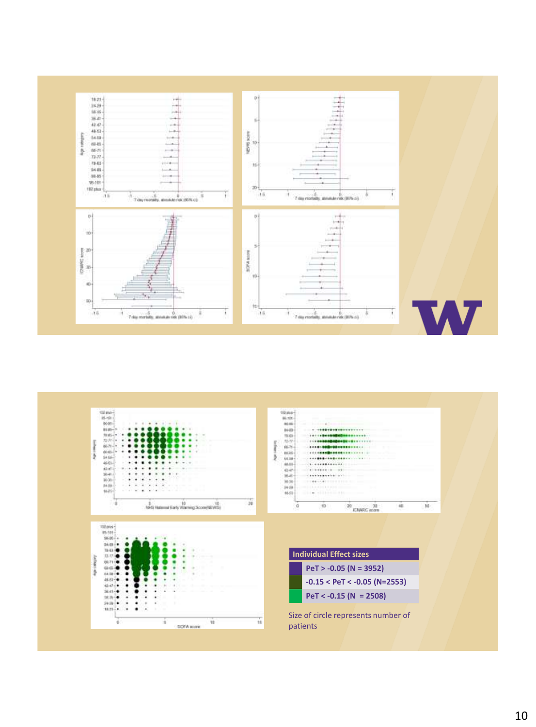

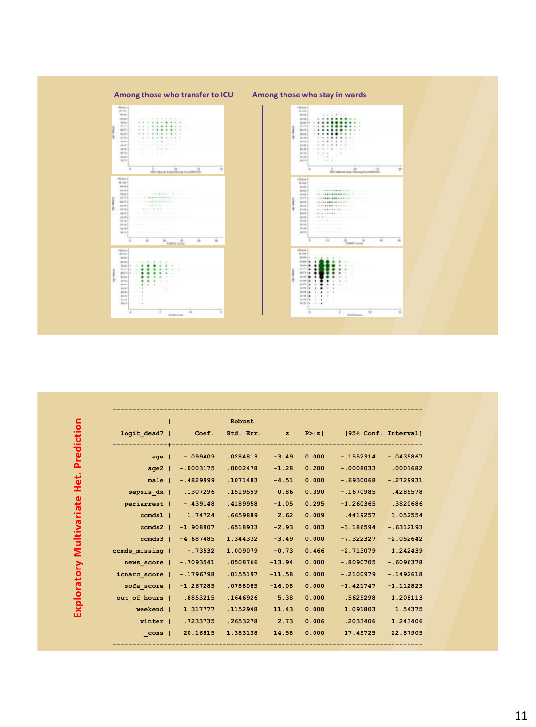

|                  |             | Robust   |          |       |                                              |              |
|------------------|-------------|----------|----------|-------|----------------------------------------------|--------------|
| logit dead7      |             |          |          |       | Coef. Std. Err. z P> z  [95% Conf. Interval] |              |
| age <sub>1</sub> | $-.099409$  | .0284813 | $-3.49$  | 0.000 | $-.1552314$                                  | $-.0435867$  |
| $aqe2$           | $-.0003175$ | .0002478 | $-1.28$  | 0.200 | $-0008033$                                   | .0001682     |
| $male \mid$      | $-.4829999$ | .1071483 | $-4.51$  | 0.000 | $-.6930068$                                  | $-.2729931$  |
| sepsis dx        | .1307296    | .1519559 | 0.86     | 0.390 | $-.1670985$                                  | .4285578     |
| periarrest       | $-.439148$  | .4189958 | $-1.05$  | 0.295 | $-1.260365$                                  | .3820686     |
| $ccmds1$         | 1.74724     | .6659889 | 2.62     | 0.009 | .4419257                                     | 3.052554     |
| $ccmds2$         | $-1.908907$ | .6518933 | $-2.93$  | 0.003 | $-3.186594$                                  | $-0.6312193$ |
| $c$ cmds $3$     | $-4.687485$ | 1.344332 | $-3.49$  | 0.000 | $-7.322327$                                  | $-2.052642$  |
| ccmds missing    | $-0.73532$  | 1.009079 | $-0.73$  | 0.466 | $-2.713079$                                  | 1.242439     |
| news score       | $-.7093541$ | .0508766 | $-13.94$ | 0.000 | $-.8090705$                                  | $-.6096378$  |
| icnarc score     | $-.1796798$ | .0155197 | $-11.58$ | 0.000 | $-.2100979$                                  | $-.1492618$  |
| sofa score       | $-1.267285$ | .0788085 | $-16.08$ | 0.000 | $-1.421747$                                  | $-1.112823$  |
| out of hours     | .8853215    | .1646926 | 5.38     | 0.000 | .5625298                                     | 1.208113     |
| weekend          | 1.317777    | .1152948 | 11.43    | 0.000 | 1.091803                                     | 1.54375      |
| winter           | .7233735    | .2653278 | 2.73     | 0.006 | .2033406                                     | 1.243406     |
| cons             | 20.16815    | 1.383138 | 14.58    | 0.000 | 17.45725                                     | 22.87905     |

Exploratory Multivariate Het. Prediction **Exploratory Multivariate Het. Prediction**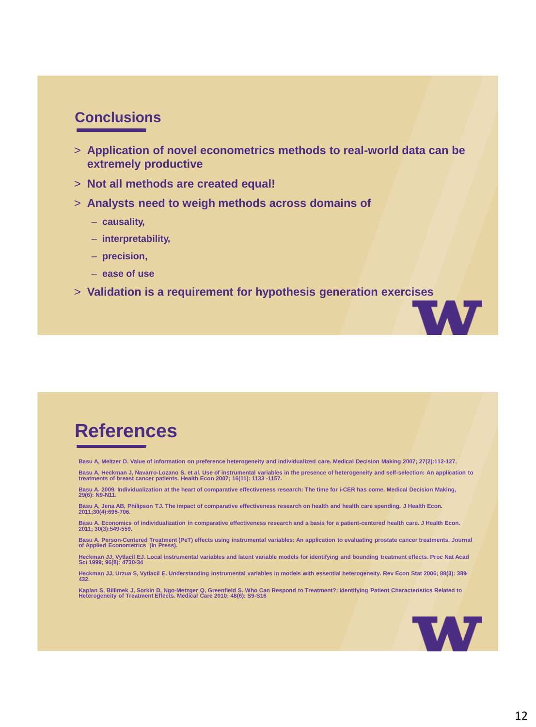## **Conclusions**

- > **Application of novel econometrics methods to real-world data can be extremely productive**
- > **Not all methods are created equal!**
- > **Analysts need to weigh methods across domains of** 
	- **causality,**
	- **interpretability,**
	- **precision,**
	- **ease of use**
- > **Validation is a requirement for hypothesis generation exercises**

## **References**

**Basu A, Meltzer D. Value of information on preference heterogeneity and individualized care. Medical Decision Making 2007; 27(2):112-127.** 

Basu A, Heckman J, Navarro-Lozano S, et al. Use of instrumental variables in the presence of heterogeneity and self-selection: An application to<br>treatments of breast cancer patients. Health Econ 2007; 16(11): 1133 -1157.

**Basu A. 2009. Individualization at the heart of comparative effectiveness research: The time for i-CER has come. Medical Decision Making, 29(6): N9-N11.**

**Basu A, Jena AB, Philipson TJ. The impact of comparative effectiveness research on health and health care spending. J Health Econ. 2011;30(4):695-706.**

**Basu A. Economics of individualization in comparative effectiveness research and a basis for a patient-centered health care. J Health Econ. 2011; 30(3):549-559.**

**Basu A. Person-Centered Treatment (PeT) effects using instrumental variables: An application to evaluating prostate cancer treatments. Journal of Applied Econometrics (In Press).**

**Heckman JJ, Vytlacil EJ. Local instrumental variables and latent variable models for identifying and bounding treatment effects. Proc Nat Acad Sci 1999; 96(8): 4730-34**

**Heckman JJ, Urzua S, Vytlacil E. Understanding instrumental variables in models with essential heterogeneity. Rev Econ Stat 2006; 88(3): 389- 432.**

Kaplan S, Billimek J, Sorkin D, Ngo-Metzger Q, Greenfield S. Who Can Respond to Treatment?: Identifying Patient Characteristics Related to<br>Heterogeneity of Treatment Effects. Medical Care 2010; 48(6): S9-S16



**MV**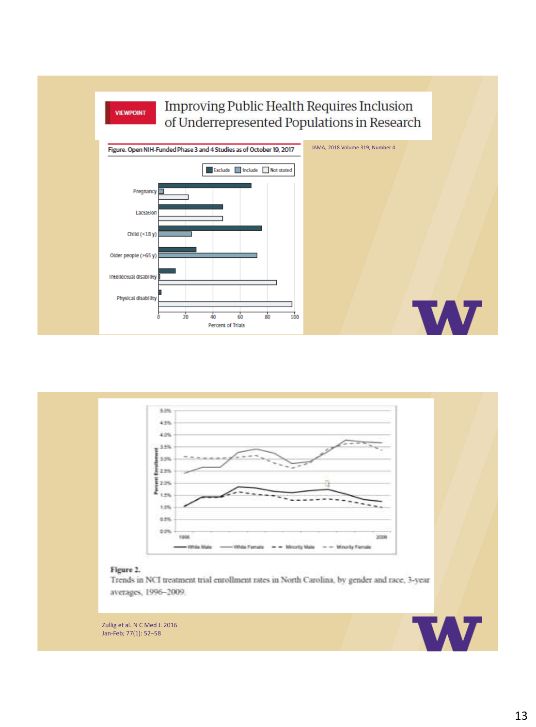



#### Figure 2.

Trends in NCI treatment trial enrollment rates in North Carolina, by gender and race, 3-year averages, 1996-2009.

Zullig et al. N C Med J. 2016 Jan-Feb; 77(1): 52–58

Lactation

Child (<18 y)

Older people (>65 y) Intellectual disability

Physical disability

 $\frac{1}{20}$ 

 $\frac{1}{40}$ 

Percent of Trials

 $60$ 

 $\overline{80}$ 

 $\frac{1}{100}$ 



**W** 

**W**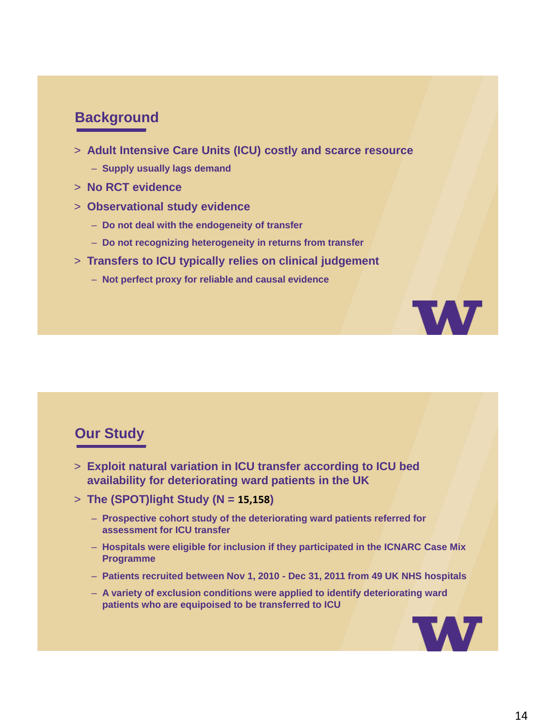## **Background**

- > **Adult Intensive Care Units (ICU) costly and scarce resource**
	- **Supply usually lags demand**
- > **No RCT evidence**
- > **Observational study evidence**
	- **Do not deal with the endogeneity of transfer**
	- **Do not recognizing heterogeneity in returns from transfer**
- > **Transfers to ICU typically relies on clinical judgement**
	- **Not perfect proxy for reliable and causal evidence**

### **Our Study**

- > **Exploit natural variation in ICU transfer according to ICU bed availability for deteriorating ward patients in the UK**
- > **The (SPOT)light Study (N = 15,158)**
	- **Prospective cohort study of the deteriorating ward patients referred for assessment for ICU transfer**
	- **Hospitals were eligible for inclusion if they participated in the ICNARC Case Mix Programme**
	- **Patients recruited between Nov 1, 2010 - Dec 31, 2011 from 49 UK NHS hospitals**
	- **A variety of exclusion conditions were applied to identify deteriorating ward patients who are equipoised to be transferred to ICU**



**TAT**